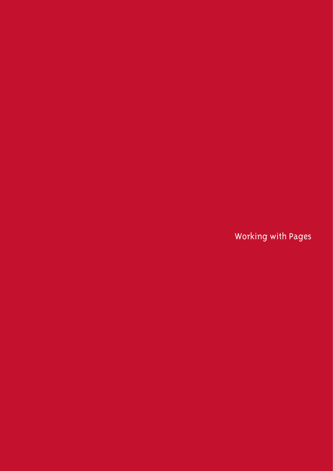Working with Pages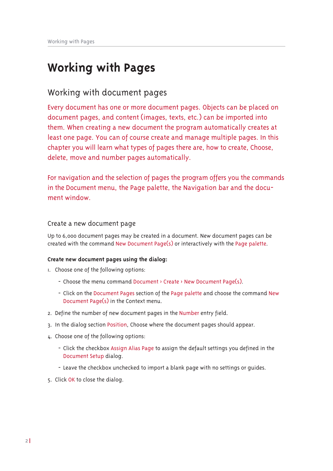# **Working with Pages**

## Working with document pages

Every document has one or more document pages. Objects can be placed on document pages, and content (images, texts, etc.) can be imported into them. When creating a new document the program automatically creates at least one page. You can of course create and manage multiple pages. In this chapter you will learn what types of pages there are, how to create, Choose, delete, move and number pages automatically.

For navigation and the selection of pages the program offers you the commands in the Document menu, the Page palette, the Navigation bar and the document window.

## Create a new document page

Up to 6,000 document pages may be created in a document. New document pages can be created with the command New Document Page(s) or interactively with the Page palette.

## **Create new document pages using the dialog:**

- I. Choose one of the following options:
	- Choose the menu command Document > Create > New Document Page(s).
	- Click on the Document Pages section of the Page palette and choose the command New Document Page(s) in the Context menu.
- 2. Define the number of new document pages in the Number entry field.
- 3. In the dialog section Position, Choose where the document pages should appear.
- 4. Choose one of the following options:
	- Click the checkbox Assign Alias Page to assign the default settings you defined in the Document Setup dialog.
	- Leave the checkbox unchecked to import a blank page with no settings or guides.
- 5. Click OK to close the dialog.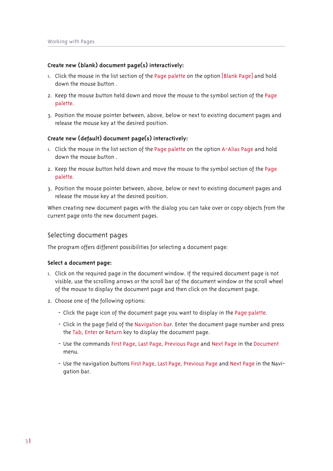#### **Create new (blank) document page(s) interactively:**

- $\mu$ . Click the mouse in the list section of the Page palette on the option [Blank Page] and hold down the mouse button.
- 2. Keep the mouse button held down and move the mouse to the symbol section of the Page palette.
- 3. Position the mouse pointer between, above, below or next to existing document pages and release the mouse key at the desired position.

#### **Create new (default) document page(s) interactively:**

- I. Click the mouse in the list section of the Page palette on the option A-Alias Page and hold down the mouse button.
- 2. Keep the mouse button held down and move the mouse to the symbol section of the Page palette.
- 3. Position the mouse pointer between, above, below or next to existing document pages and release the mouse key at the desired position.

When creating new document pages with the dialog you can take over or copy objects from the current page onto the new document pages.

### Selecting document pages

The program offers different possibilities for selecting a document page:

#### **Select a document page:**

- L. Click on the required page in the document window. If the required document page is not visible, use the scrolling arrows or the scroll bar of the document window or the scroll wheel of the mouse to display the document page and then click on the document page.
- 2. Choose one of the following options:
	- Click the page icon of the document page you want to display in the Page palette.
	- Click in the page field of the Navigation bar. Enter the document page number and press the Tab, Enter or Return key to display the document page.
	- Use the commands First Page, Last Page, Previous Page and Next Page in the Document menu.
	- Use the navigation buttons First Page, Last Page, Previous Page and Next Page in the Navigation bar.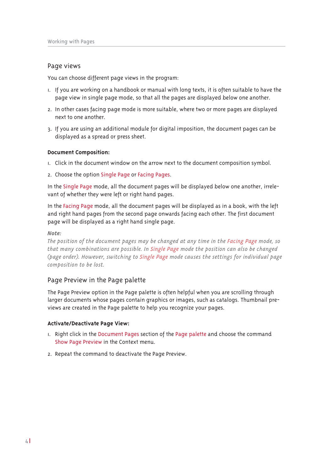### Page views

You can choose different page views in the program:

- I. If you are working on a handbook or manual with long texts, it is often suitable to have the page view in single page mode, so that all the pages are displayed below one another.
- 2. In other cases facing page mode is more suitable, where two or more pages are displayed next to one another
- 3. If you are using an additional module for digital imposition, the document pages can be displayed as a spread or press sheet.

#### **Document Composition:**

- $\mu$ . Click in the document window on the arrow next to the document composition symbol.
- 2. Choose the option Single Page or Facing Pages.

In the Single Page mode, all the document pages will be displayed below one another, irrelevant of whether they were left or right hand pages.

In the Facing Page mode, all the document pages will be displayed as in a book, with the left and right hand pages from the second page onwards facing each other. The first document page will be displayed as a right hand single page.

#### $Note:$

*The position of the document pages may be changed at any time in the Facing Page mode, so that many combinations are possible. In Single Page mode the position can also be changed +sdjŚ rugŚuĞ1 KrŬŚyŚuġ vŬlũfŝlţj ũr ňlţjoŚ ŅdjŚ prgŚ fdxvŚv ũŝŚ vŚũũlţjv iru lţglylgxdo sdjŚ frapposition to be lost.* 

## Page Preview in the Page palette

The Page Preview option in the Page palette is often helpful when you are scrolling through larger documents whose pages contain graphics or images, such as catalogs. Thumbnail previews are created in the Page palette to help you recognize your pages.

#### **Activate/Deactivate Page View:**

- I. Right click in the Document Pages section of the Page palette and choose the command Show Page Preview in the Context menu.
- 2. Repeat the command to deactivate the Page Preview.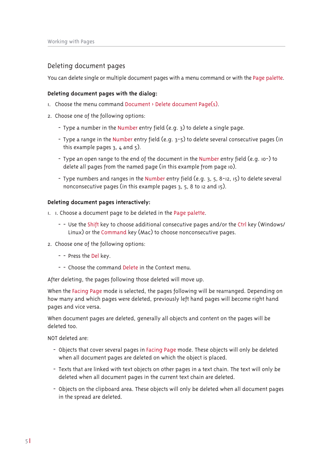## Deleting document pages

You can delete single or multiple document pages with a menu command or with the Page palette.

#### **Deleting document pages with the dialog:**

- I. Choose the menu command Document > Delete document Page(s).
- 2. Choose one of the following options:
	- Type a number in the Number entry field (e.g. 3) to delete a single page.
	- Type a range in the Number entry field (e.g. 3-5) to delete several consecutive pages (in this example pages  $3, 4$  and  $5$ ).
	- Type an open range to the end of the document in the Number entry field (e.g. 10-) to delete all pages from the named page (in this example from page 10).
	- Type numbers and ranges in the Number entry field (e.g.  $3, 5, 8$ -12, 15) to delete several nonconsecutive pages (in this example pages 3, 5, 8 to 12 and 15).

#### **Deleting document pages interactively:**

- I. I. Choose a document page to be deleted in the Page palette.
	- - Use the Shift key to choose additional consecutive pages and/or the Ctrl key (Windows/ Linux) or the Command key (Mac) to choose nonconsecutive pages.
- 2. Choose one of the following options:
	- - Press the Del kev.
	- $-$  Choose the command Delete in the Context menu

After deleting, the pages following those deleted will move up.

When the Facing Page mode is selected, the pages following will be rearranged. Depending on how many and which pages were deleted, previously left hand pages will become right hand pages and vice versa.

When document pages are deleted, generally all objects and content on the pages will be deleted too.

NOT deleted are:

- Objects that cover several pages in Facing Page mode. These objects will only be deleted when all document pages are deleted on which the object is placed.
- Texts that are linked with text objects on other pages in a text chain. The text will only be deleted when all document pages in the current text chain are deleted.
- Objects on the clipboard area. These objects will only be deleted when all document pages in the spread are deleted.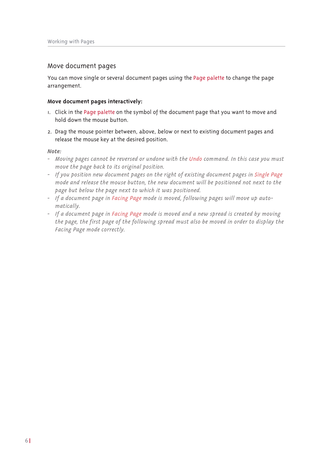## Move document pages

You can move single or several document pages using the Page palette to change the page arrangement.

#### Move document pages interactively:

- I. Click in the Page palette on the symbol of the document page that you want to move and hold down the mouse button.
- 2. Drag the mouse pointer between, above, below or next to existing document pages and release the mouse key at the desired position.

 $Note:$ 

- Moving pages cannot be reversed or undone with the Undo command. In this case you must move the page back to its original position.
- If you position new document pages on the right of existing document pages in Single Page mode and release the mouse button, the new document will be positioned not next to the page but below the page next to which it was positioned.
- If a document page in Facing Page mode is moved, following pages will move up automatically.
- If a document page in Facing Page mode is moved and a new spread is created by moving the page, the first page of the following spread must also be moved in order to display the Facing Page mode correctly.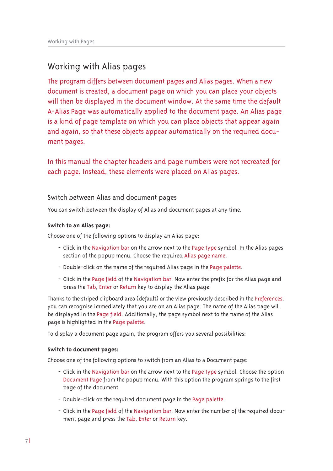## Working with Alias pages

The program differs between document pages and Alias pages. When a new document is created, a document page on which you can place your objects will then be displayed in the document window. At the same time the default A-Alias Page was automatically applied to the document page. An Alias page is a kind of page template on which you can place objects that appear again and again, so that these objects appear automatically on the required document pages.

In this manual the chapter headers and page numbers were not recreated for each page. Instead, these elements were placed on Alias pages.

## Switch between Alias and document pages

You can switch between the display of Alias and document pages at any time.

## **Switch to an Alias page:**

Choose one of the following options to display an Alias page:

- Click in the Navigation bar on the arrow next to the Page type symbol. In the Alias pages section of the popup menu, Choose the required Alias page name.
- Double-click on the name of the required Alias page in the Page palette.
- Click in the Page field of the Navigation bar. Now enter the prefix for the Alias page and press the Tab, Enter or Return key to display the Alias page.

Thanks to the striped clipboard area (default) or the view previously described in the Preferences. you can recognise immediately that you are on an Alias page. The name of the Alias page will be displayed in the Page field. Additionally, the page symbol next to the name of the Alias page is highlighted in the Page palette.

To display a document page again, the program offers you several possibilities:

#### **Switch to document pages:**

Choose one of the following options to switch from an Alias to a Document page:

- Click in the Navigation bar on the arrow next to the Page type symbol. Choose the option Document Page from the popup menu. With this option the program springs to the first page of the document.
- Double-click on the required document page in the Page palette.
- Click in the Page field of the Navigation bar. Now enter the number of the required document page and press the Tab, Enter or Return key.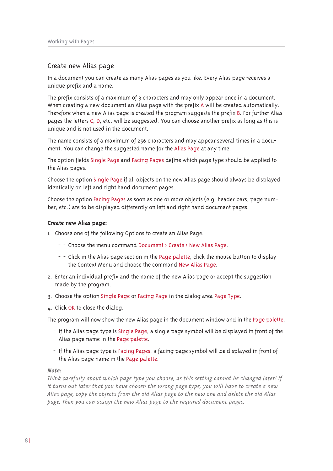## Create new Alias page

In a document you can create as many Alias pages as you like. Every Alias page receives a unique prefix and a name.

The prefix consists of a maximum of 3 characters and may only appear once in a document. When creating a new document an Alias page with the prefix A will be created automatically. Therefore when a new Alias page is created the program suggests the prefix B. For further Alias pages the letters C, D, etc. will be suggested. You can choose another prefix as long as this is unique and is not used in the document.

The name consists of a maximum of 256 characters and may appear several times in a document. You can change the suggested name for the Alias Page at any time.

The option fields Single Page and Facing Pages define which page type should be applied to the Alias pages.

Choose the option Single Page if all objects on the new Alias page should always be displayed identically on left and right hand document pages.

Choose the option Facing Pages as soon as one or more objects (e.g. header bars, page number, etc.) are to be displayed differently on left and right hand document pages.

#### **Create new Alias page:**

- I. Choose one of the following Options to create an Alias Page:
	- - Choose the menu command Document > Create > New Alias Page.
	- - Click in the Alias page section in the Page palette, click the mouse button to display the Context Menu and choose the command New Alias Page.
- 2. Enter an individual prefix and the name of the new Alias page or accept the suggestion made by the program.
- 3. Choose the option Single Page or Facing Page in the dialog area Page Type.
- 4. Click OK to close the dialog.

The program will now show the new Alias page in the document window and in the Page palette.

- If the Alias page type is Single Page, a single page symbol will be displayed in front of the Alias page name in the Page palette.
- If the Alias page type is Facing Pages, a facing page symbol will be displayed in front of the Alias page name in the Page palette.

#### $Note:$

*WŝlţŠ fduŚixoo| dŗrxũ Ŭŝlfŝ sdjŚ ũ|sŚ |rx fŝrrvŚġ dv ũŝlv vŚũũlţj fdţţrũ ŗŚ fŝdţjŚg odũŚu\$ Li it turns out later that you have chosen the wrong page type, you will have to create a new* Alias page, copy the objects from the old Alias page to the new one and delete the old Alias *bage. Then you can assign the new Alias page to the required document pages.*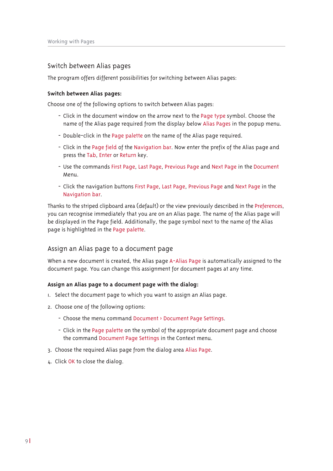## Switch between Alias pages

The program offers different possibilities for switching between Alias pages:

#### Switch between Alias pages:

Choose one of the following options to switch between Alias pages:

- Click in the document window on the arrow next to the Page type symbol. Choose the name of the Alias page required from the display below Alias Pages in the popup menu.
- Double-click in the Page palette on the name of the Alias page required.
- Click in the Page field of the Navigation bar. Now enter the prefix of the Alias page and press the Tab, Enter or Return key.
- Use the commands First Page, Last Page, Previous Page and Next Page in the Document Menu.
- Click the navigation buttons First Page, Last Page, Previous Page and Next Page in the Navigation bar.

Thanks to the striped clipboard area (default) or the view previously described in the Preferences, you can recognise immediately that you are on an Alias page. The name of the Alias page will be displayed in the Page field. Additionally, the page symbol next to the name of the Alias page is highlighted in the Page palette.

## Assign an Alias page to a document page

When a new document is created, the Alias page A-Alias Page is automatically assigned to the document page. You can change this assignment for document pages at any time.

#### Assign an Alias page to a document page with the dialog:

- 1. Select the document page to which you want to assign an Alias page.
- 2. Choose one of the following options:
	- Choose the menu command Document > Document Page Settings.
	- Click in the Page palette on the symbol of the appropriate document page and choose the command Document Page Settings in the Context menu.
- 3. Choose the required Alias page from the dialog area Alias Page.
- 4. Click OK to close the dialog.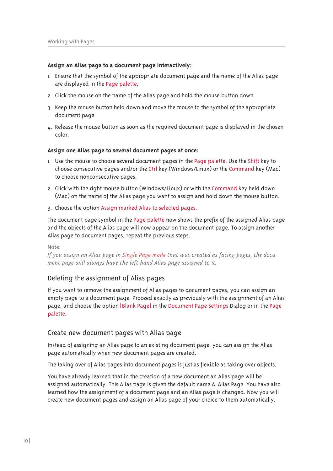#### **Assign an Alias page to a document page interactively:**

- I. Ensure that the symbol of the appropriate document page and the name of the Alias page are displayed in the Page palette.
- 2. Click the mouse on the name of the Alias page and hold the mouse button down.
- 3. Keep the mouse button held down and move the mouse to the symbol of the appropriate document page.
- $\mu$ . Release the mouse button as soon as the required document page is displayed in the chosen color.

#### **Assign one Alias page to several document pages at once:**

- I. Use the mouse to choose several document pages in the Page palette. Use the Shift key to choose consecutive pages and/or the Ctrl key (Windows/Linux) or the Command key (Mac) to choose nonconsecutive pages.
- 2. Click with the right mouse button (Windows/Linux) or with the Command key held down (Mac) on the name of the Alias page you want to assign and hold down the mouse button.
- 3. Choose the option Assign marked Alias to selected pages.

The document page symbol in the Page palette now shows the prefix of the assigned Alias page and the objects of the Alias page will now appear on the document page. To assign another Alias page to document pages, repeat the previous steps.

Note:

*Li |rx dvvljţ dţ Ķoldv sdjŚ lţ ňlţjoŚ ŅdjŚ prgŚ ũŝdũ Ŭdv fuŚdũŚg dv idflţj sdjŚvġ ũŝŚ grfx0 ment page will always have the left hand Alias page assigned to it.* 

## Deleting the assignment of Alias pages

If you want to remove the assignment of Alias pages to document pages, you can assign an empty page to a document page. Proceed exactly as previously with the assignment of an Alias page, and choose the option [Blank Page] in the Document Page Settings Dialog or in the Page palette.

#### Create new document pages with Alias page

Instead of assigning an Alias page to an existing document page, you can assign the Alias page automatically when new document pages are created.

The taking over of Alias pages into document pages is just as flexible as taking over objects.

You have already learned that in the creation of a new document an Alias page will be assigned automatically. This Alias page is given the default name A-Alias Page. You have also learned how the assignment of a document page and an Alias page is changed. Now you will create new document pages and assign an Alias page of your choice to them automatically.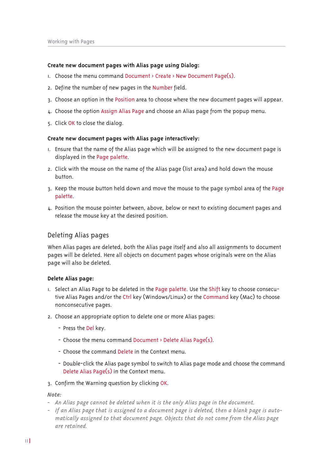#### **Create new document pages with Alias page using Dialog:**

- $\mu$ . Choose the menu command Document > Create > New Document Page(s).
- 2. Define the number of new pages in the Number field.
- 3. Choose an option in the Position area to choose where the new document pages will appear.
- 4. Choose the option Assign Alias Page and choose an Alias page from the popup menu.
- 5. Click OK to close the dialog.

#### **Create new document pages with Alias page interactively:**

- I. Ensure that the name of the Alias page which will be assigned to the new document page is displayed in the Page palette.
- 2. Click with the mouse on the name of the Alias page (list area) and hold down the mouse  $h$ utton
- 3. Keep the mouse button held down and move the mouse to the page symbol area of the Page palette.
- 4. Position the mouse pointer between, above, below or next to existing document pages and release the mouse key at the desired position.

#### Deleting Alias pages

When Alias pages are deleted, both the Alias page itself and also all assignments to document pages will be deleted. Here all objects on document pages whose originals were on the Alias page will also be deleted.

#### **Delete Alias page:**

- I. Select an Alias Page to be deleted in the Page palette. Use the Shift key to choose consecutive Alias Pages and/or the Ctrl key (Windows/Linux) or the Command key (Mac) to choose nonconsecutive pages.
- 2. Choose an appropriate option to delete one or more Alias pages:
	- Press the Del key.
	- Choose the menu command Document > Delete Alias Page(s).
	- Choose the command Delete in the Context menu.
	- Double-click the Alias page symbol to switch to Alias page mode and choose the command Delete Alias Page(s) in the Context menu.
- 3. Confirm the Warning question by clicking OK.

#### $N$ oto ·

- *0 Ķţ Ķoldv sdjŚ fdţţrũ ŗŚ gŚoŚũŚg ŬŝŚţ lũ lv ũŝŚ rţo| Ķoldv sdjŚ lţ ũŝŚ grfxpŚţũ1*
- If an Alias page that is assigned to a document page is deleted, then a blank page is auto*matically assigned to that document page. Objects that do not come from the Alias page dre retained*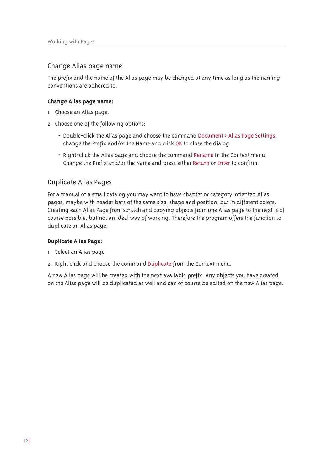## Change Alias page name

The prefix and the name of the Alias page may be changed at any time as long as the naming conventions are adhered to

#### Change Alias page name:

- I. Choose an Alias page.
- 2. Choose one of the following options:
	- Double-click the Alias page and choose the command Document > Alias Page Settings, change the Prefix and/or the Name and click OK to close the dialog.
	- Right-click the Alias page and choose the command Rename in the Context menu. Change the Prefix and/or the Name and press either Return or Enter to confirm.

## Duplicate Alias Pages

For a manual or a small catalog you may want to have chapter or category-oriented Alias pages, maybe with header bars of the same size, shape and position, but in different colors. Creating each Alias Page from scratch and copying objects from one Alias page to the next is of course possible, but not an ideal way of working. Therefore the program offers the function to duplicate an Alias page.

#### Duplicate Alias Page:

- I. Select an Alias page.
- 2. Right click and choose the command Duplicate from the Context menu.

A new Alias page will be created with the next available prefix. Any objects you have created on the Alias page will be duplicated as well and can of course be edited on the new Alias page.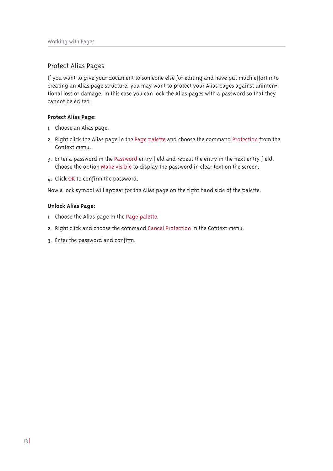## Protect Alias Pages

If you want to give your document to someone else for editing and have put much effort into creating an Alias page structure, you may want to protect your Alias pages against unintentional loss or damage. In this case you can lock the Alias pages with a password so that they cannot be edited.

#### **Protect Alias Page:**

- I. Choose an Alias page.
- 2. Right click the Alias page in the Page palette and choose the command Protection from the Context menu.
- 3. Enter a password in the Password entry field and repeat the entry in the next entry field. Choose the option Make visible to display the password in clear text on the screen.
- 4. Click OK to confirm the password.

Now a lock symbol will appear for the Alias page on the right hand side of the palette.

#### **Unlock Alias Page:**

- I. Choose the Alias page in the Page palette.
- 2. Right click and choose the command Cancel Protection in the Context menu.
- 3. Enter the password and confirm.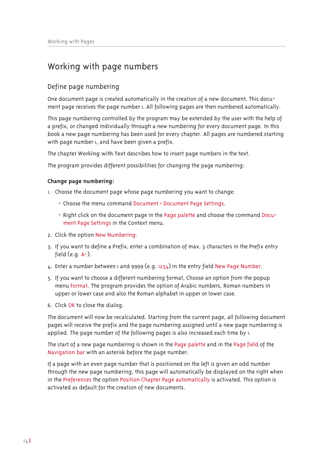## Working with page numbers

## Define page numbering

One document page is created automatically in the creation of a new document. This document page receives the page number i. All following pages are then numbered automatically.

This page numbering controlled by the program may be extended by the user with the help of a prefix, or changed individually through a new numbering for every document page. In this book a new page numbering has been used for every chapter. All pages are numbered starting with page number i, and have been given a prefix.

The chapter Working with Text describes how to insert page numbers in the text.

The program provides different possibilities for changing the page numbering:

#### **Change page numbering:**

I. Choose the document page whose page numbering you want to change:

- Choose the menu command Document > Document Page Settings.
- Right click on the document page in the Page palette and choose the command Document Page Settings in the Context menu.
- 2. Click the option New Numbering.
- 3. If you want to define a Prefix, enter a combination of max. 3 characters in the Prefix entry field  $(e, \alpha, A-)$ .
- $4.$  Enter a number between I and 9999 (e.g. 1234) in the entry field New Page Number.
- 5. If you want to choose a different numbering format, Choose an option from the popup menu Format. The program provides the option of Arabic numbers, Roman numbers in upper or lower case and also the Roman alphabet in upper or lower case.
- 6. Click OK to close the dialog.

The document will now be recalculated. Starting from the current page, all following document pages will receive the prefix and the page numbering assigned until a new page numbering is applied. The page number of the following pages is also increased each time by  $I$ .

The start of a new page numbering is shown in the Page palette and in the Page field of the Navigation bar with an asterisk before the page number.

If a page with an even page number that is positioned on the left is given an odd number through the new page numbering, this page will automatically be displayed on the right when in the Preferences the option Position Chapter Page automatically is activated. This option is activated as default for the creation of new documents.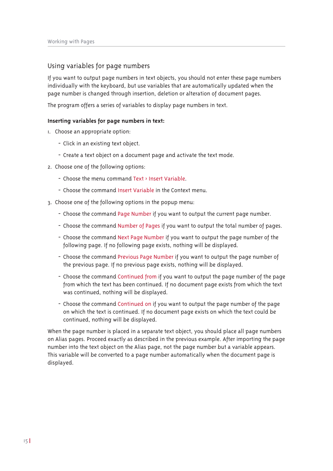## Using variables for page numbers

If you want to output page numbers in text objects, you should not enter these page numbers individually with the keyboard, but use variables that are automatically updated when the page number is changed through insertion, deletion or alteration of document pages.

The program offers a series of variables to display page numbers in text.

#### Inserting variables for page numbers in text:

- I. Choose an appropriate option:
	- Click in an existing text object.
	- Create a text object on a document page and activate the text mode.
- 2. Choose one of the following options:
	- Choose the menu command Text > Insert Variable.
	- Choose the command Insert Variable in the Context menu
- 3. Choose one of the following options in the popup menu:
	- Choose the command Page Number if you want to output the current page number.
	- Choose the command Number of Pages if you want to output the total number of pages.
	- Choose the command Next Page Number if you want to output the page number of the following page. If no following page exists, nothing will be displayed.
	- Choose the command Previous Page Number if you want to output the page number of the previous page. If no previous page exists, nothing will be displayed.
	- Choose the command Continued from if you want to output the page number of the page from which the text has been continued. If no document page exists from which the text was continued, nothing will be displayed.
	- Choose the command Continued on if you want to output the page number of the page on which the text is continued. If no document page exists on which the text could be continued, nothing will be displayed.

When the page number is placed in a separate text object, you should place all page numbers on Alias pages. Proceed exactly as described in the previous example. After importing the page number into the text object on the Alias page, not the page number but a variable appears. This variable will be converted to a page number automatically when the document page is displayed.